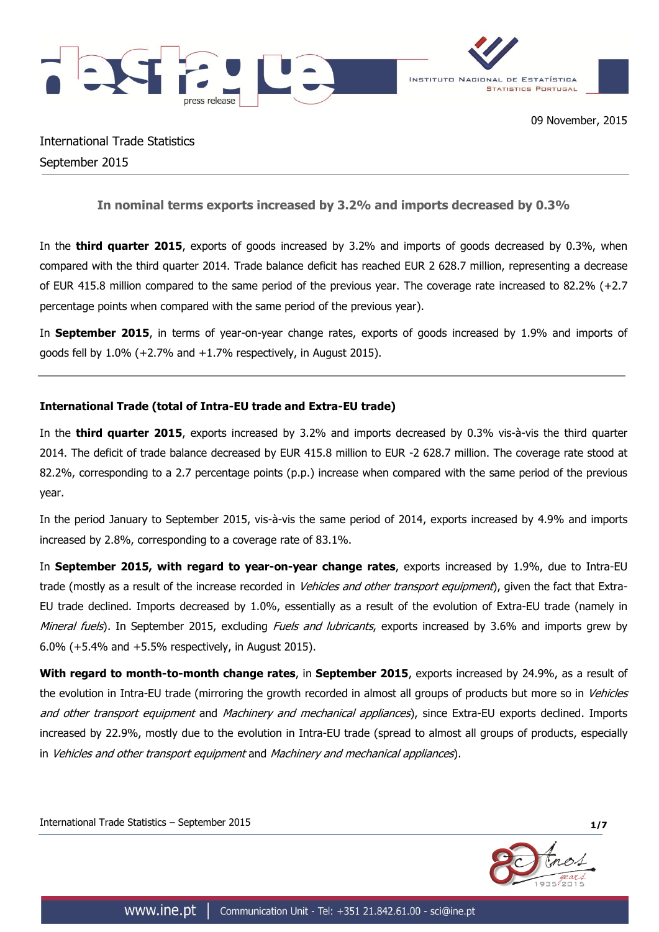

International Trade Statistics September 2015

**In nominal terms exports increased by 3.2% and imports decreased by 0.3%**

In the **third quarter 2015**, exports of goods increased by 3.2% and imports of goods decreased by 0.3%, when compared with the third quarter 2014. Trade balance deficit has reached EUR 2 628.7 million, representing a decrease of EUR 415.8 million compared to the same period of the previous year. The coverage rate increased to 82.2% (+2.7 percentage points when compared with the same period of the previous year).

In **September 2015**, in terms of year-on-year change rates, exports of goods increased by 1.9% and imports of goods fell by 1.0% (+2.7% and +1.7% respectively, in August 2015).

# **International Trade (total of Intra-EU trade and Extra-EU trade)**

In the **third quarter 2015**, exports increased by 3.2% and imports decreased by 0.3% vis-à-vis the third quarter 2014. The deficit of trade balance decreased by EUR 415.8 million to EUR -2 628.7 million. The coverage rate stood at 82.2%, corresponding to a 2.7 percentage points (p.p.) increase when compared with the same period of the previous year.

In the period January to September 2015, vis-à-vis the same period of 2014, exports increased by 4.9% and imports increased by 2.8%, corresponding to a coverage rate of 83.1%.

In **September 2015, with regard to year-on-year change rates**, exports increased by 1.9%, due to Intra-EU trade (mostly as a result of the increase recorded in Vehicles and other transport equipment), given the fact that Extra-EU trade declined. Imports decreased by 1.0%, essentially as a result of the evolution of Extra-EU trade (namely in Mineral fuels). In September 2015, excluding Fuels and lubricants, exports increased by 3.6% and imports grew by 6.0% (+5.4% and +5.5% respectively, in August 2015).

**With regard to month-to-month change rates**, in **September 2015**, exports increased by 24.9%, as a result of the evolution in Intra-EU trade (mirroring the growth recorded in almost all groups of products but more so in Vehicles and other transport equipment and Machinery and mechanical appliances), since Extra-EU exports declined. Imports increased by 22.9%, mostly due to the evolution in Intra-EU trade (spread to almost all groups of products, especially in Vehicles and other transport equipment and Machinery and mechanical appliances).

International Trade Statistics – September 2015 **1/7**

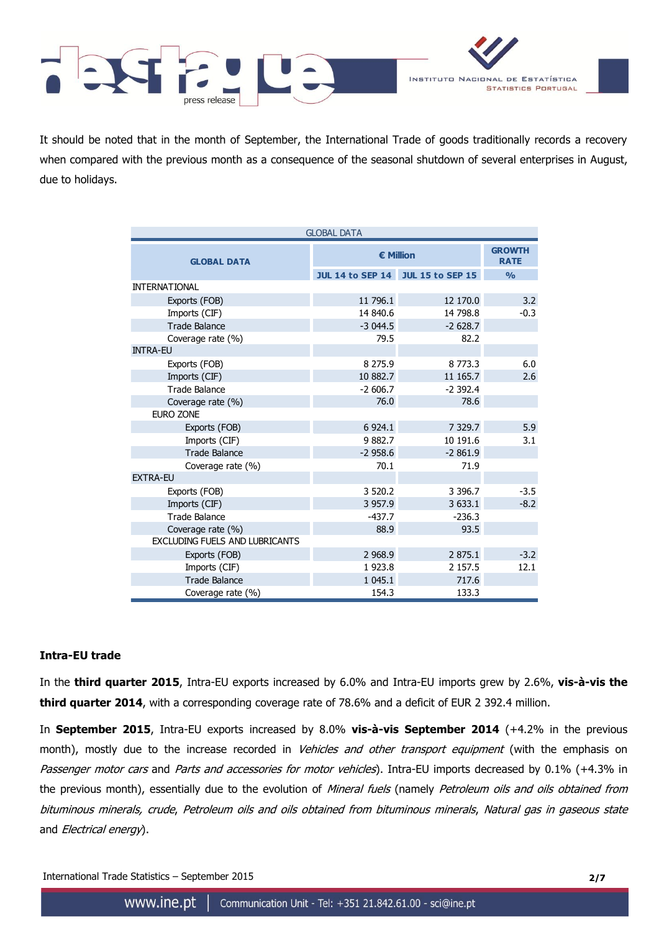

It should be noted that in the month of September, the International Trade of goods traditionally records a recovery when compared with the previous month as a consequence of the seasonal shutdown of several enterprises in August, due to holidays.

| <b>GLOBAL DATA</b>                    |                                   |                              |               |  |  |  |
|---------------------------------------|-----------------------------------|------------------------------|---------------|--|--|--|
| <b>GLOBAL DATA</b>                    | <b>€ Million</b>                  | <b>GROWTH</b><br><b>RATE</b> |               |  |  |  |
|                                       | JUL 14 to SEP 14 JUL 15 to SEP 15 |                              | $\frac{0}{0}$ |  |  |  |
| <b>INTERNATIONAL</b>                  |                                   |                              |               |  |  |  |
| Exports (FOB)                         | 11 796.1                          | 12 170.0                     | 3.2           |  |  |  |
| Imports (CIF)                         | 14 840.6                          | 14 798.8                     | $-0.3$        |  |  |  |
| <b>Trade Balance</b>                  | $-3044.5$                         | $-2628.7$                    |               |  |  |  |
| Coverage rate (%)                     | 79.5                              | 82.2                         |               |  |  |  |
| <b>INTRA-EU</b>                       |                                   |                              |               |  |  |  |
| Exports (FOB)                         | 8 275.9                           | 8773.3                       | 6.0           |  |  |  |
| Imports (CIF)                         | 10 882.7                          | 11 165.7                     | 2.6           |  |  |  |
| <b>Trade Balance</b>                  | $-2606.7$                         | $-2392.4$                    |               |  |  |  |
| Coverage rate (%)                     | 76.0                              | 78.6                         |               |  |  |  |
| <b>EURO ZONE</b>                      |                                   |                              |               |  |  |  |
| Exports (FOB)                         | 6 9 24.1                          | 7 3 2 9.7                    | 5.9           |  |  |  |
| Imports (CIF)                         | 9882.7                            | 10 191.6                     | 3.1           |  |  |  |
| <b>Trade Balance</b>                  | $-2958.6$                         | $-2861.9$                    |               |  |  |  |
| Coverage rate (%)                     | 70.1                              | 71.9                         |               |  |  |  |
| <b>EXTRA-EU</b>                       |                                   |                              |               |  |  |  |
| Exports (FOB)                         | 3 5 2 0.2                         | 3 3 9 6.7                    | $-3.5$        |  |  |  |
| Imports (CIF)                         | 3 9 5 7.9                         | 3 633.1                      | $-8.2$        |  |  |  |
| <b>Trade Balance</b>                  | $-437.7$                          | $-236.3$                     |               |  |  |  |
| Coverage rate (%)                     | 88.9                              | 93.5                         |               |  |  |  |
| <b>EXCLUDING FUELS AND LUBRICANTS</b> |                                   |                              |               |  |  |  |
| Exports (FOB)                         | 2 9 68.9                          | 2 875.1                      | $-3.2$        |  |  |  |
| Imports (CIF)                         | 1923.8                            | 2 157.5                      | 12.1          |  |  |  |
| <b>Trade Balance</b>                  | 1 045.1                           | 717.6                        |               |  |  |  |
| Coverage rate (%)                     | 154.3                             | 133.3                        |               |  |  |  |

### **Intra-EU trade**

In the **third quarter 2015**, Intra-EU exports increased by 6.0% and Intra-EU imports grew by 2.6%, **vis-à-vis the third quarter 2014**, with a corresponding coverage rate of 78.6% and a deficit of EUR 2 392.4 million.

In **September 2015**, Intra-EU exports increased by 8.0% **vis-à-vis September 2014** (+4.2% in the previous month), mostly due to the increase recorded in Vehicles and other transport equipment (with the emphasis on Passenger motor cars and Parts and accessories for motor vehicles). Intra-EU imports decreased by 0.1% (+4.3% in the previous month), essentially due to the evolution of Mineral fuels (namely Petroleum oils and oils obtained from bituminous minerals, crude, Petroleum oils and oils obtained from bituminous minerals, Natural gas in gaseous state and *Electrical energy*).

International Trade Statistics – September 2015 **2/7**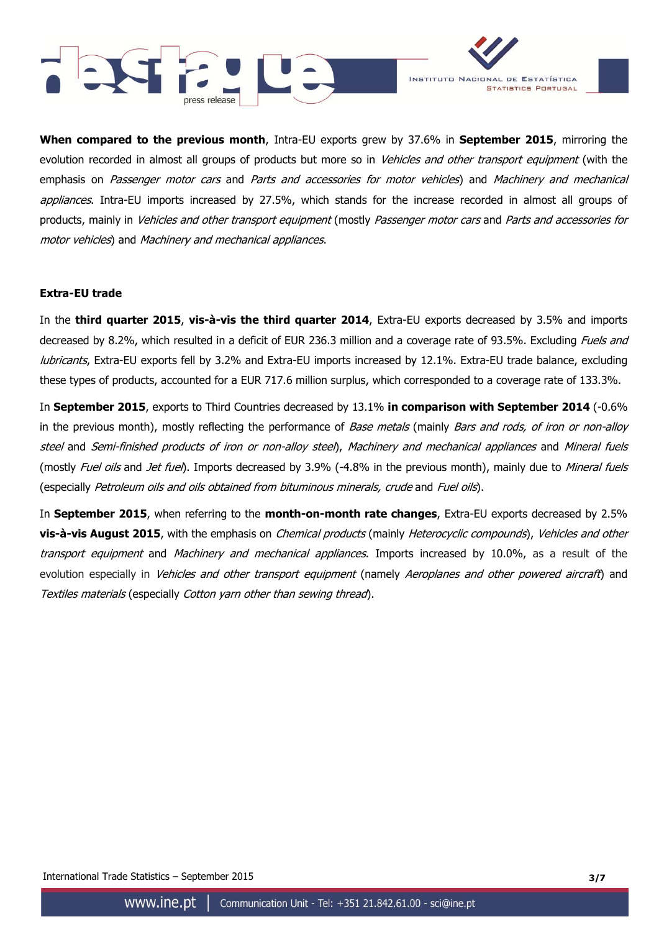



**When compared to the previous month**, Intra-EU exports grew by 37.6% in **September 2015**, mirroring the evolution recorded in almost all groups of products but more so in Vehicles and other transport equipment (with the emphasis on Passenger motor cars and Parts and accessories for motor vehicles) and Machinery and mechanical appliances. Intra-EU imports increased by 27.5%, which stands for the increase recorded in almost all groups of products, mainly in *Vehicles and other transport equipment* (mostly *Passenger motor cars* and *Parts and accessories for* motor vehicles) and Machinery and mechanical appliances.

#### **Extra-EU trade**

In the **third quarter 2015**, **vis-à-vis the third quarter 2014**, Extra-EU exports decreased by 3.5% and imports decreased by 8.2%, which resulted in a deficit of EUR 236.3 million and a coverage rate of 93.5%. Excluding *Fuels and* lubricants, Extra-EU exports fell by 3.2% and Extra-EU imports increased by 12.1%. Extra-EU trade balance, excluding these types of products, accounted for a EUR 717.6 million surplus, which corresponded to a coverage rate of 133.3%.

In **September 2015**, exports to Third Countries decreased by 13.1% **in comparison with September 2014** (-0.6% in the previous month), mostly reflecting the performance of Base metals (mainly Bars and rods, of iron or non-alloy steel and Semi-finished products of iron or non-alloy steel), Machinery and mechanical appliances and Mineral fuels (mostly Fuel oils and Jet fuel). Imports decreased by 3.9% (-4.8% in the previous month), mainly due to Mineral fuels (especially Petroleum oils and oils obtained from bituminous minerals, crude and Fuel oils).

In **September 2015**, when referring to the **month-on-month rate changes**, Extra-EU exports decreased by 2.5% **vis-à-vis August 2015**, with the emphasis on Chemical products (mainly Heterocyclic compounds), Vehicles and other transport equipment and Machinery and mechanical appliances. Imports increased by 10.0%, as a result of the evolution especially in Vehicles and other transport equipment (namely Aeroplanes and other powered aircraft) and Textiles materials (especially Cotton yarn other than sewing thread).

International Trade Statistics – September 2015 **3/7**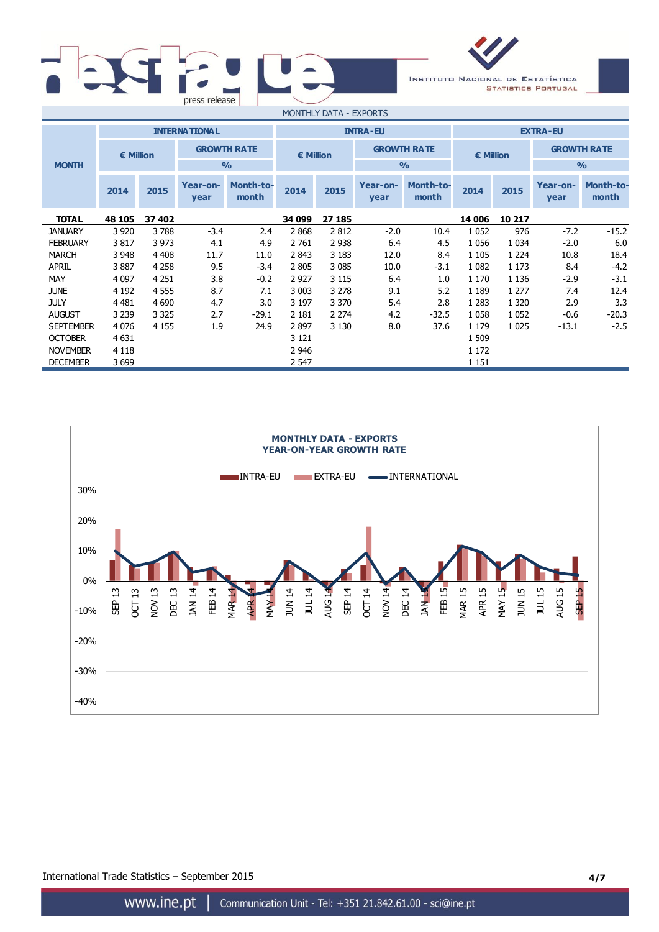| press release |                                |
|---------------|--------------------------------|
|               | $m \wedge n \wedge n \wedge n$ |



| MONTHLY DATA - EXPORTS |                    |         |                      |                           |                  |         |                    |                           |              |               |                  |                           |  |               |
|------------------------|--------------------|---------|----------------------|---------------------------|------------------|---------|--------------------|---------------------------|--------------|---------------|------------------|---------------------------|--|---------------|
|                        |                    |         | <b>INTERNATIONAL</b> |                           | <b>INTRA-EU</b>  |         |                    | <b>EXTRA-EU</b>           |              |               |                  |                           |  |               |
|                        | $\epsilon$ Million |         | <b>GROWTH RATE</b>   |                           | <b>€ Million</b> |         | <b>GROWTH RATE</b> |                           | € Million    |               |                  | <b>GROWTH RATE</b>        |  |               |
| <b>MONTH</b>           |                    |         |                      | $\frac{0}{0}$             |                  |         |                    |                           |              | $\frac{0}{0}$ |                  |                           |  | $\frac{0}{0}$ |
|                        | 2014               | 2015    | Year-on-<br>year     | <b>Month-to-</b><br>month | 2014             | 2015    | Year-on-<br>year   | <b>Month-to-</b><br>month | 2015<br>2014 |               | Year-on-<br>year | <b>Month-to-</b><br>month |  |               |
| <b>TOTAL</b>           | 48 105             | 37 402  |                      |                           | 34 099           | 27 185  |                    |                           | 14 006       | 10 217        |                  |                           |  |               |
| <b>JANUARY</b>         | 3 9 20             | 3788    | $-3.4$               | 2.4                       | 2868             | 2812    | $-2.0$             | 10.4                      | 1 0 5 2      | 976           | $-7.2$           | $-15.2$                   |  |               |
| <b>FEBRUARY</b>        | 3817               | 3 9 7 3 | 4.1                  | 4.9                       | 2 761            | 2 9 3 8 | 6.4                | 4.5                       | 1 0 5 6      | 1 0 3 4       | $-2.0$           | 6.0                       |  |               |
| <b>MARCH</b>           | 3 9 4 8            | 4 4 0 8 | 11.7                 | 11.0                      | 2 8 4 3          | 3 1 8 3 | 12.0               | 8.4                       | 1 1 0 5      | 1 2 2 4       | 10.8             | 18.4                      |  |               |
| <b>APRIL</b>           | 3887               | 4 2 5 8 | 9.5                  | $-3.4$                    | 2 8 0 5          | 3 0 8 5 | 10.0               | $-3.1$                    | 1 0 8 2      | 1 1 7 3       | 8.4              | $-4.2$                    |  |               |
| MAY                    | 4 0 9 7            | 4 2 5 1 | 3.8                  | $-0.2$                    | 2 9 2 7          | 3 1 1 5 | 6.4                | 1.0                       | 1 1 7 0      | 1 1 3 6       | $-2.9$           | $-3.1$                    |  |               |
| <b>JUNE</b>            | 4 1 9 2            | 4 5 5 5 | 8.7                  | 7.1                       | 3 0 0 3          | 3 2 7 8 | 9.1                | 5.2                       | 1 1 8 9      | 1 277         | 7.4              | 12.4                      |  |               |
| <b>JULY</b>            | 4 4 8 1            | 4 6 9 0 | 4.7                  | 3.0                       | 3 1 9 7          | 3 3 7 0 | 5.4                | 2.8                       | 1 2 8 3      | 1 3 2 0       | 2.9              | 3.3                       |  |               |
| <b>AUGUST</b>          | 3 2 3 9            | 3 3 2 5 | 2.7                  | $-29.1$                   | 2 1 8 1          | 2 2 7 4 | 4.2                | $-32.5$                   | 1 0 5 8      | 1 0 5 2       | $-0.6$           | $-20.3$                   |  |               |
| <b>SEPTEMBER</b>       | 4 0 7 6            | 4 1 5 5 | 1.9                  | 24.9                      | 2897             | 3 1 3 0 | 8.0                | 37.6                      | 1 1 7 9      | 1 0 2 5       | $-13.1$          | $-2.5$                    |  |               |
| <b>OCTOBER</b>         | 4 6 31             |         |                      |                           | 3 1 2 1          |         |                    |                           | 1 509        |               |                  |                           |  |               |
| <b>NOVEMBER</b>        | 4 1 1 8            |         |                      |                           | 2 946            |         |                    |                           | 1 172        |               |                  |                           |  |               |
| <b>DECEMBER</b>        | 3 6 9 9            |         |                      |                           | 2 547            |         |                    |                           | 1 1 5 1      |               |                  |                           |  |               |



International Trade Statistics – September 2015 **4/7**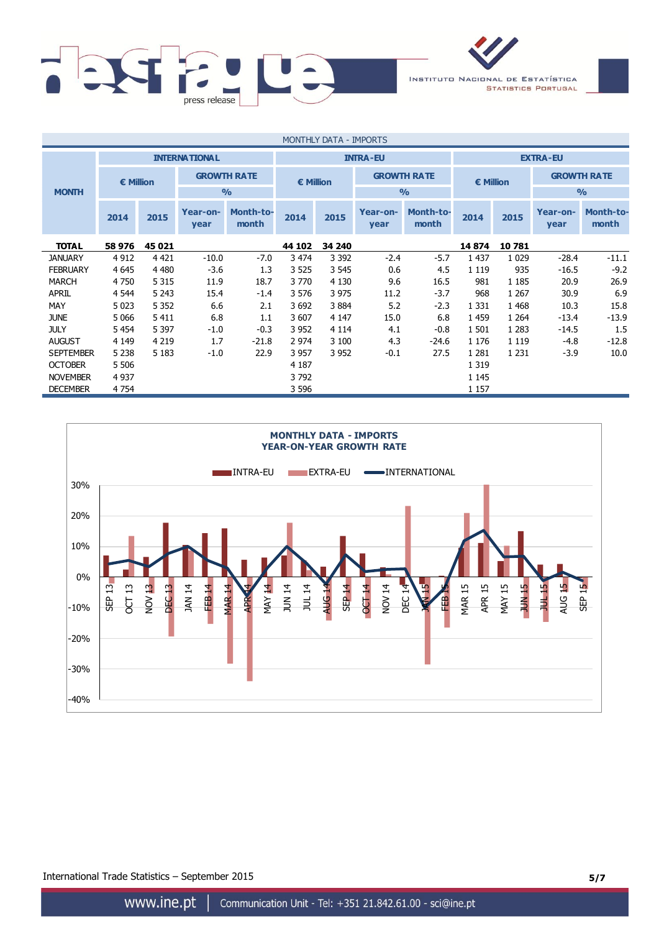

| MONTHLY DATA - IMPORTS |                    |         |                      |                           |                    |         |                    |                    |                    |         |                  |                           |  |
|------------------------|--------------------|---------|----------------------|---------------------------|--------------------|---------|--------------------|--------------------|--------------------|---------|------------------|---------------------------|--|
|                        |                    |         | <b>INTERNATIONAL</b> |                           |                    |         | <b>INTRA-EU</b>    |                    | <b>EXTRA-EU</b>    |         |                  |                           |  |
|                        | $\epsilon$ Million |         | <b>GROWTH RATE</b>   |                           | $\epsilon$ Million |         | <b>GROWTH RATE</b> |                    | $\epsilon$ Million |         |                  | <b>GROWTH RATE</b>        |  |
| <b>MONTH</b>           |                    |         |                      | $\frac{0}{0}$             |                    |         |                    | $\frac{0}{0}$      |                    |         | $\frac{0}{0}$    |                           |  |
|                        | 2014               | 2015    | Year-on-<br>year     | <b>Month-to-</b><br>month | 2014               | 2015    | Year-on-<br>year   | Month-to-<br>month | 2014               | 2015    | Year-on-<br>year | <b>Month-to-</b><br>month |  |
| <b>TOTAL</b>           | 58 976             | 45 021  |                      |                           | 44 102             | 34 240  |                    |                    | 14874              | 10 781  |                  |                           |  |
| <b>JANUARY</b>         | 4 9 12             | 4 4 2 1 | $-10.0$              | $-7.0$                    | 3 474              | 3 3 9 2 | $-2.4$             | $-5.7$             | 1 4 3 7            | 1 0 2 9 | $-28.4$          | $-11.1$                   |  |
| <b>FEBRUARY</b>        | 4 6 4 5            | 4 4 8 0 | $-3.6$               | 1.3                       | 3 5 2 5            | 3 5 4 5 | 0.6                | 4.5                | 1 1 1 9            | 935     | $-16.5$          | $-9.2$                    |  |
| <b>MARCH</b>           | 4750               | 5 3 1 5 | 11.9                 | 18.7                      | 3 7 7 0            | 4 1 3 0 | 9.6                | 16.5               | 981                | 1 1 8 5 | 20.9             | 26.9                      |  |
| <b>APRIL</b>           | 4 5 4 4            | 5 2 4 3 | 15.4                 | $-1.4$                    | 3 576              | 3 9 7 5 | 11.2               | $-3.7$             | 968                | 1 2 6 7 | 30.9             | 6.9                       |  |
| MAY                    | 5 0 23             | 5 3 5 2 | 6.6                  | 2.1                       | 3692               | 3884    | 5.2                | $-2.3$             | 1 3 3 1            | 1 4 6 8 | 10.3             | 15.8                      |  |
| <b>JUNE</b>            | 5 0 6 6            | 5 4 1 1 | 6.8                  | 1.1                       | 3 607              | 4 1 4 7 | 15.0               | 6.8                | 1459               | 1 2 6 4 | $-13.4$          | $-13.9$                   |  |
| <b>JULY</b>            | 5 4 5 4            | 5 3 9 7 | $-1.0$               | $-0.3$                    | 3 9 5 2            | 4 1 1 4 | 4.1                | $-0.8$             | 1 501              | 1 2 8 3 | $-14.5$          | 1.5                       |  |
| <b>AUGUST</b>          | 4 1 4 9            | 4 2 1 9 | 1.7                  | $-21.8$                   | 2 9 7 4            | 3 100   | 4.3                | $-24.6$            | 1 1 7 6            | 1 1 1 9 | $-4.8$           | $-12.8$                   |  |
| <b>SEPTEMBER</b>       | 5 2 3 8            | 5 1 8 3 | $-1.0$               | 22.9                      | 3 9 5 7            | 3 9 5 2 | $-0.1$             | 27.5               | 1 2 8 1            | 1 2 3 1 | $-3.9$           | 10.0                      |  |
| <b>OCTOBER</b>         | 5 5 0 6            |         |                      |                           | 4 1 8 7            |         |                    |                    | 1 3 1 9            |         |                  |                           |  |
| <b>NOVEMBER</b>        | 4 9 3 7            |         |                      |                           | 3792               |         |                    |                    | 1 1 4 5            |         |                  |                           |  |
| <b>DECEMBER</b>        | 4 7 5 4            |         |                      |                           | 3 5 9 6            |         |                    |                    | 1 1 5 7            |         |                  |                           |  |



International Trade Statistics – September 2015 **5/7**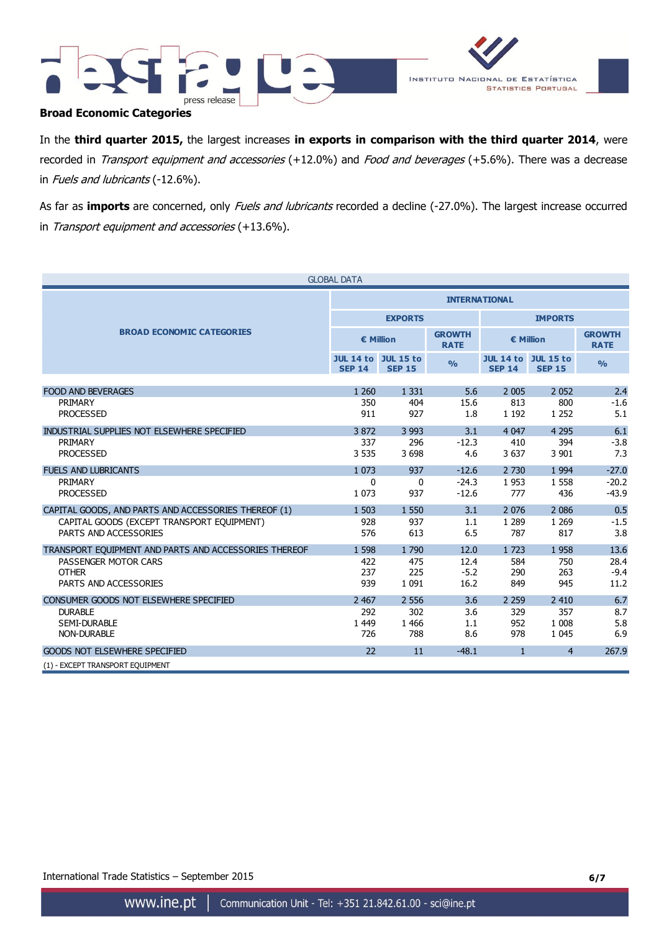



## **Broad Economic Categories**

In the **third quarter 2015,** the largest increases **in exports in comparison with the third quarter 2014**, were recorded in Transport equipment and accessories (+12.0%) and Food and beverages (+5.6%). There was a decrease in Fuels and lubricants (-12.6%).

As far as *imports* are concerned, only *Fuels and lubricants* recorded a decline (-27.0%). The largest increase occurred in Transport equipment and accessories (+13.6%).

|                                                       | <b>GLOBAL DATA</b>                          |                |                              |               |                                             |                              |  |  |
|-------------------------------------------------------|---------------------------------------------|----------------|------------------------------|---------------|---------------------------------------------|------------------------------|--|--|
|                                                       | <b>INTERNATIONAL</b>                        |                |                              |               |                                             |                              |  |  |
|                                                       |                                             | <b>EXPORTS</b> |                              |               | <b>IMPORTS</b>                              |                              |  |  |
| <b>BROAD ECONOMIC CATEGORIES</b>                      | € Million                                   |                | <b>GROWTH</b><br><b>RATE</b> | € Million     |                                             | <b>GROWTH</b><br><b>RATE</b> |  |  |
|                                                       | <b>JUL 14 to JUL 15 to</b><br><b>SEP 14</b> | <b>SEP 15</b>  | $\frac{9}{6}$                | <b>SEP 14</b> | <b>JUL 14 to JUL 15 to</b><br><b>SEP 15</b> | $\frac{0}{0}$                |  |  |
|                                                       |                                             |                |                              |               |                                             |                              |  |  |
| <b>FOOD AND BEVERAGES</b>                             | 1 2 6 0                                     | 1 3 3 1        | 5.6                          | 2 0 0 5       | 2052                                        | 2.4                          |  |  |
| PRIMARY                                               | 350                                         | 404            | 15.6                         | 813           | 800                                         | $-1.6$                       |  |  |
| <b>PROCESSED</b>                                      | 911                                         | 927            | 1.8                          | 1 1 9 2       | 1 2 5 2                                     | 5.1                          |  |  |
| INDUSTRIAL SUPPLIES NOT ELSEWHERE SPECIFIED           | 3872                                        | 3 9 9 3        | 3.1                          | 4 0 4 7       | 4 2 9 5                                     | 6.1                          |  |  |
| PRIMARY                                               | 337                                         | 296            | $-12.3$                      | 410           | 394                                         | $-3.8$                       |  |  |
| <b>PROCESSED</b>                                      | 3 5 3 5                                     | 3 6 9 8        | 4.6                          | 3 6 3 7       | 3 9 0 1                                     | 7.3                          |  |  |
| <b>FUELS AND LUBRICANTS</b>                           | 1 0 7 3                                     | 937            | $-12.6$                      | 2 7 3 0       | 1 9 9 4                                     | $-27.0$                      |  |  |
| PRIMARY                                               | 0                                           | 0              | $-24.3$                      | 1953          | 1 5 5 8                                     | $-20.2$                      |  |  |
| <b>PROCESSED</b>                                      | 1 0 7 3                                     | 937            | $-12.6$                      | 777           | 436                                         | $-43.9$                      |  |  |
| CAPITAL GOODS, AND PARTS AND ACCESSORIES THEREOF (1)  | 1 503                                       | 1 5 5 0        | 3.1                          | 2 0 7 6       | 2 0 8 6                                     | 0.5                          |  |  |
| CAPITAL GOODS (EXCEPT TRANSPORT EQUIPMENT)            | 928                                         | 937            | 1.1                          | 1 2 8 9       | 1 2 6 9                                     | $-1.5$                       |  |  |
| PARTS AND ACCESSORIES                                 | 576                                         | 613            | 6.5                          | 787           | 817                                         | 3.8                          |  |  |
| TRANSPORT EQUIPMENT AND PARTS AND ACCESSORIES THEREOF | 1 5 9 8                                     | 1790           | 12.0                         | 1723          | 1958                                        | 13.6                         |  |  |
| PASSENGER MOTOR CARS                                  | 422                                         | 475            | 12.4                         | 584           | 750                                         | 28.4                         |  |  |
| <b>OTHER</b>                                          | 237                                         | 225            | $-5.2$                       | 290           | 263                                         | $-9.4$                       |  |  |
| PARTS AND ACCESSORIES                                 | 939                                         | 1 0 9 1        | 16.2                         | 849           | 945                                         | 11.2                         |  |  |
| CONSUMER GOODS NOT ELSEWHERE SPECIFIED                | 2 4 6 7                                     | 2 5 5 6        | 3.6                          | 2 2 5 9       | 2 4 1 0                                     | 6.7                          |  |  |
| <b>DURABLE</b>                                        | 292                                         | 302            | 3.6                          | 329           | 357                                         | 8.7                          |  |  |
| SEMI-DURABLE                                          | 1 4 4 9                                     | 1 4 6 6        | 1.1                          | 952           | 1 0 0 8                                     | 5.8                          |  |  |
| <b>NON-DURABLE</b>                                    | 726                                         | 788            | 8.6                          | 978           | 1 0 4 5                                     | 6.9                          |  |  |
| <b>GOODS NOT ELSEWHERE SPECIFIED</b>                  | 22                                          | 11             | $-48.1$                      | $\mathbf{1}$  | $\overline{4}$                              | 267.9                        |  |  |
| (1) - EXCEPT TRANSPORT EQUIPMENT                      |                                             |                |                              |               |                                             |                              |  |  |

International Trade Statistics – September 2015 **6/7**